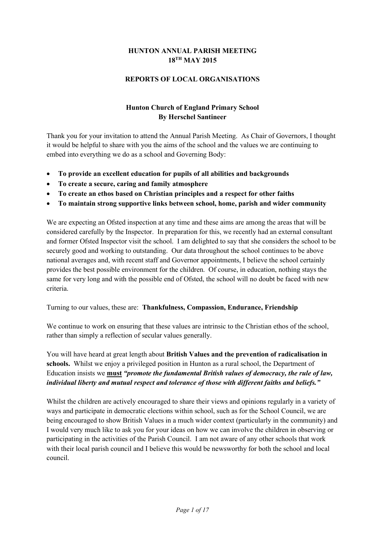### **HUNTON ANNUAL PARISH MEETING 18TH MAY 2015**

### **REPORTS OF LOCAL ORGANISATIONS**

### **Hunton Church of England Primary School By Herschel Santineer**

Thank you for your invitation to attend the Annual Parish Meeting. As Chair of Governors, I thought it would be helpful to share with you the aims of the school and the values we are continuing to embed into everything we do as a school and Governing Body:

- **To provide an excellent education for pupils of all abilities and backgrounds**
- **To create a secure, caring and family atmosphere**
- **To create an ethos based on Christian principles and a respect for other faiths**
- **To maintain strong supportive links between school, home, parish and wider community**

We are expecting an Ofsted inspection at any time and these aims are among the areas that will be considered carefully by the Inspector. In preparation for this, we recently had an external consultant and former Ofsted Inspector visit the school. I am delighted to say that she considers the school to be securely good and working to outstanding. Our data throughout the school continues to be above national averages and, with recent staff and Governor appointments, I believe the school certainly provides the best possible environment for the children. Of course, in education, nothing stays the same for very long and with the possible end of Ofsted, the school will no doubt be faced with new criteria.

Turning to our values, these are: **Thankfulness, Compassion, Endurance, Friendship** 

We continue to work on ensuring that these values are intrinsic to the Christian ethos of the school, rather than simply a reflection of secular values generally.

You will have heard at great length about **British Values and the prevention of radicalisation in schools.** Whilst we enjoy a privileged position in Hunton as a rural school, the Department of Education insists we **must** *"promote the fundamental British values of democracy, the rule of law, individual liberty and mutual respect and tolerance of those with different faiths and beliefs."* 

Whilst the children are actively encouraged to share their views and opinions regularly in a variety of ways and participate in democratic elections within school, such as for the School Council, we are being encouraged to show British Values in a much wider context (particularly in the community) and I would very much like to ask you for your ideas on how we can involve the children in observing or participating in the activities of the Parish Council. I am not aware of any other schools that work with their local parish council and I believe this would be newsworthy for both the school and local council.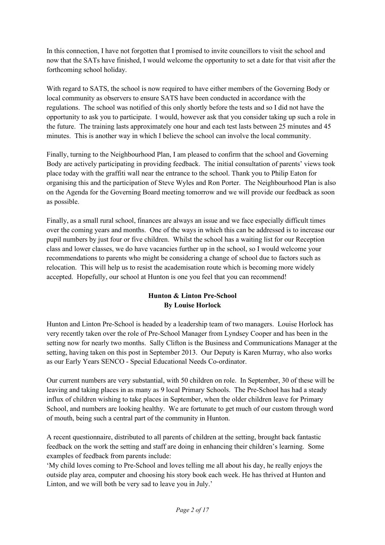In this connection, I have not forgotten that I promised to invite councillors to visit the school and now that the SATs have finished, I would welcome the opportunity to set a date for that visit after the forthcoming school holiday.

With regard to SATS, the school is now required to have either members of the Governing Body or local community as observers to ensure SATS have been conducted in accordance with the regulations. The school was notified of this only shortly before the tests and so I did not have the opportunity to ask you to participate. I would, however ask that you consider taking up such a role in the future. The training lasts approximately one hour and each test lasts between 25 minutes and 45 minutes. This is another way in which I believe the school can involve the local community.

Finally, turning to the Neighbourhood Plan, I am pleased to confirm that the school and Governing Body are actively participating in providing feedback. The initial consultation of parents' views took place today with the graffiti wall near the entrance to the school. Thank you to Philip Eaton for organising this and the participation of Steve Wyles and Ron Porter. The Neighbourhood Plan is also on the Agenda for the Governing Board meeting tomorrow and we will provide our feedback as soon as possible.

Finally, as a small rural school, finances are always an issue and we face especially difficult times over the coming years and months. One of the ways in which this can be addressed is to increase our pupil numbers by just four or five children. Whilst the school has a waiting list for our Reception class and lower classes, we do have vacancies further up in the school, so I would welcome your recommendations to parents who might be considering a change of school due to factors such as relocation. This will help us to resist the academisation route which is becoming more widely accepted. Hopefully, our school at Hunton is one you feel that you can recommend!

# **Hunton & Linton Pre-School By Louise Horlock**

Hunton and Linton Pre-School is headed by a leadership team of two managers. Louise Horlock has very recently taken over the role of Pre-School Manager from Lyndsey Cooper and has been in the setting now for nearly two months. Sally Clifton is the Business and Communications Manager at the setting, having taken on this post in September 2013. Our Deputy is Karen Murray, who also works as our Early Years SENCO - Special Educational Needs Co-ordinator.

Our current numbers are very substantial, with 50 children on role. In September, 30 of these will be leaving and taking places in as many as 9 local Primary Schools. The Pre-School has had a steady influx of children wishing to take places in September, when the older children leave for Primary School, and numbers are looking healthy. We are fortunate to get much of our custom through word of mouth, being such a central part of the community in Hunton.

A recent questionnaire, distributed to all parents of children at the setting, brought back fantastic feedback on the work the setting and staff are doing in enhancing their children's learning. Some examples of feedback from parents include:

'My child loves coming to Pre-School and loves telling me all about his day, he really enjoys the outside play area, computer and choosing his story book each week. He has thrived at Hunton and Linton, and we will both be very sad to leave you in July.'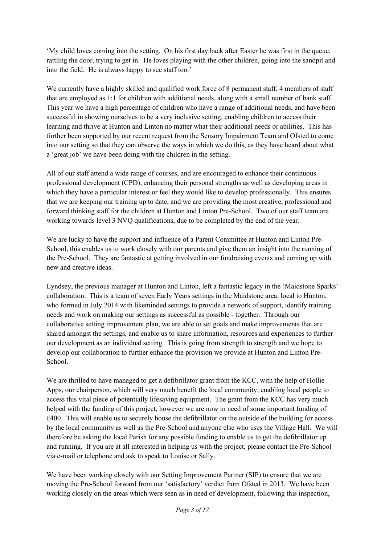'My child loves coming into the setting. On his first day back after Easter he was first in the queue, rattling the door, trying to get in. He loves playing with the other children, going into the sandpit and into the field. He is always happy to see staff too.'

We currently have a highly skilled and qualified work force of 8 permanent staff, 4 members of staff that are employed as 1:1 for children with additional needs, along with a small number of bank staff. This year we have a high percentage of children who have a range of additional needs, and have been successful in showing ourselves to be a very inclusive setting, enabling children to access their learning and thrive at Hunton and Linton no matter what their additional needs or abilities. This has further been supported by our recent request from the Sensory Impairment Team and Ofsted to come into our setting so that they can observe the ways in which we do this, as they have heard about what a 'great job' we have been doing with the children in the setting.

All of our staff attend a wide range of courses, and are encouraged to enhance their continuous professional development (CPD), enhancing their personal strengths as well as developing areas in which they have a particular interest or feel they would like to develop professionally. This ensures that we are keeping our training up to date, and we are providing the most creative, professional and forward thinking staff for the children at Hunton and Linton Pre-School. Two of our staff team are working towards level 3 NVQ qualifications, due to be completed by the end of the year.

We are lucky to have the support and influence of a Parent Committee at Hunton and Linton Pre-School, this enables us to work closely with our parents and give them an insight into the running of the Pre-School. They are fantastic at getting involved in our fundraising events and coming up with new and creative ideas.

Lyndsey, the previous manager at Hunton and Linton, left a fantastic legacy in the 'Maidstone Sparks' collaboration. This is a team of seven Early Years settings in the Maidstone area, local to Hunton, who formed in July 2014 with likeminded settings to provide a network of support, identify training needs and work on making our settings as successful as possible - together. Through our collaborative setting improvement plan, we are able to set goals and make improvements that are shared amongst the settings, and enable us to share information, resources and experiences to further our development as an individual setting. This is going from strength to strength and we hope to develop our collaboration to further enhance the provision we provide at Hunton and Linton Pre-School.

We are thrilled to have managed to get a defibrillator grant from the KCC, with the help of Hollie Apps, our chairperson, which will very much benefit the local community, enabling local people to access this vital piece of potentially lifesaving equipment. The grant from the KCC has very much helped with the funding of this project, however we are now in need of some important funding of £400. This will enable us to securely house the defibrillator on the outside of the building for access by the local community as well as the Pre-School and anyone else who uses the Village Hall. We will therefore be asking the local Parish for any possible funding to enable us to get the defibrillator up and running. If you are at all interested in helping us with the project, please contact the Pre-School via e-mail or telephone and ask to speak to Louise or Sally.

We have been working closely with our Setting Improvement Partner (SIP) to ensure that we are moving the Pre-School forward from our 'satisfactory' verdict from Ofsted in 2013. We have been working closely on the areas which were seen as in need of development, following this inspection,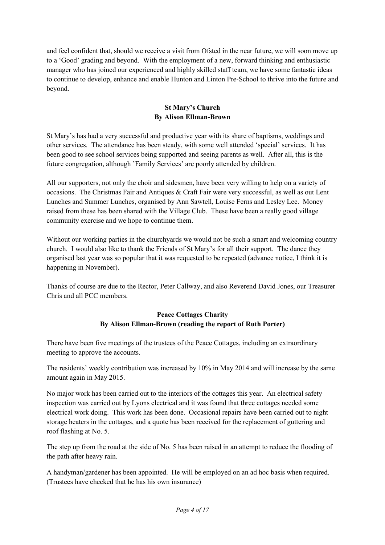and feel confident that, should we receive a visit from Ofsted in the near future, we will soon move up to a 'Good' grading and beyond. With the employment of a new, forward thinking and enthusiastic manager who has joined our experienced and highly skilled staff team, we have some fantastic ideas to continue to develop, enhance and enable Hunton and Linton Pre-School to thrive into the future and beyond.

### **St Mary's Church By Alison Ellman-Brown**

St Mary's has had a very successful and productive year with its share of baptisms, weddings and other services. The attendance has been steady, with some well attended 'special' services. It has been good to see school services being supported and seeing parents as well. After all, this is the future congregation, although 'Family Services' are poorly attended by children.

All our supporters, not only the choir and sidesmen, have been very willing to help on a variety of occasions. The Christmas Fair and Antiques & Craft Fair were very successful, as well as out Lent Lunches and Summer Lunches, organised by Ann Sawtell, Louise Ferns and Lesley Lee. Money raised from these has been shared with the Village Club. These have been a really good village community exercise and we hope to continue them.

Without our working parties in the churchyards we would not be such a smart and welcoming country church. I would also like to thank the Friends of St Mary's for all their support. The dance they organised last year was so popular that it was requested to be repeated (advance notice, I think it is happening in November).

Thanks of course are due to the Rector, Peter Callway, and also Reverend David Jones, our Treasurer Chris and all PCC members.

### **Peace Cottages Charity By Alison Ellman-Brown (reading the report of Ruth Porter)**

There have been five meetings of the trustees of the Peace Cottages, including an extraordinary meeting to approve the accounts.

The residents' weekly contribution was increased by 10% in May 2014 and will increase by the same amount again in May 2015.

No major work has been carried out to the interiors of the cottages this year. An electrical safety inspection was carried out by Lyons electrical and it was found that three cottages needed some electrical work doing. This work has been done. Occasional repairs have been carried out to night storage heaters in the cottages, and a quote has been received for the replacement of guttering and roof flashing at No. 5.

The step up from the road at the side of No. 5 has been raised in an attempt to reduce the flooding of the path after heavy rain.

A handyman/gardener has been appointed. He will be employed on an ad hoc basis when required. (Trustees have checked that he has his own insurance)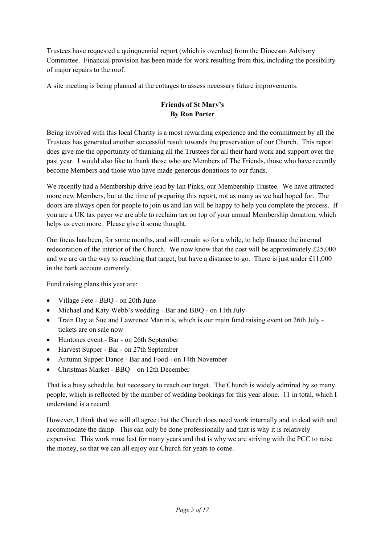Trustees have requested a quinquennial report (which is overdue) from the Diocesan Advisory Committee. Financial provision has been made for work resulting from this, including the possibility of major repairs to the roof.

A site meeting is being planned at the cottages to assess necessary future improvements.

## **Friends of St Mary's By Ron Porter**

Being involved with this local Charity is a most rewarding experience and the commitment by all the Trustees has generated another successful result towards the preservation of our Church. This report does give me the opportunity of thanking all the Trustees for all their hard work and support over the past year. I would also like to thank those who are Members of The Friends, those who have recently become Members and those who have made generous donations to our funds.

We recently had a Membership drive lead by Ian Pinks, our Membership Trustee. We have attracted more new Members, but at the time of preparing this report, not as many as we had hoped for. The doors are always open for people to join us and Ian will be happy to help you complete the process. If you are a UK tax payer we are able to reclaim tax on top of your annual Membership donation, which helps us even more. Please give it some thought.

Our focus has been, for some months, and will remain so for a while, to help finance the internal redecoration of the interior of the Church. We now know that the cost will be approximately £25,000 and we are on the way to reaching that target, but have a distance to go. There is just under £11,000 in the bank account currently.

Fund raising plans this year are:

- Village Fete BBQ on 20th June
- Michael and Katy Webb's wedding Bar and BBQ on 11th July
- Train Day at Sue and Lawrence Martin's, which is our main fund raising event on 26th July tickets are on sale now
- Huntones event Bar on 26th September
- Harvest Supper Bar on 27th September
- Autumn Supper Dance Bar and Food on 14th November
- Christmas Market BBQ on 12th December

That is a busy schedule, but necessary to reach our target. The Church is widely admired by so many people, which is reflected by the number of wedding bookings for this year alone. 11 in total, which I understand is a record.

However, I think that we will all agree that the Church does need work internally and to deal with and accommodate the damp. This can only be done professionally and that is why it is relatively expensive. This work must last for many years and that is why we are striving with the PCC to raise the money, so that we can all enjoy our Church for years to come.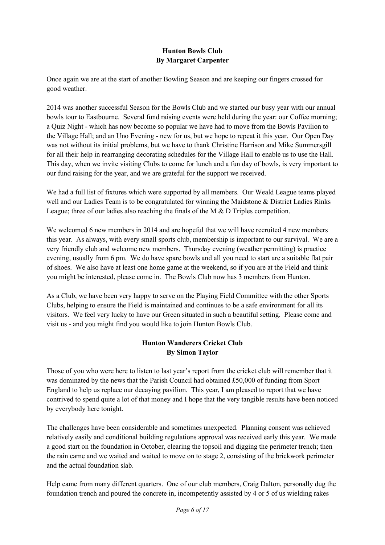### **Hunton Bowls Club By Margaret Carpenter**

Once again we are at the start of another Bowling Season and are keeping our fingers crossed for good weather.

2014 was another successful Season for the Bowls Club and we started our busy year with our annual bowls tour to Eastbourne. Several fund raising events were held during the year: our Coffee morning; a Quiz Night - which has now become so popular we have had to move from the Bowls Pavilion to the Village Hall; and an Uno Evening - new for us, but we hope to repeat it this year. Our Open Day was not without its initial problems, but we have to thank Christine Harrison and Mike Summersgill for all their help in rearranging decorating schedules for the Village Hall to enable us to use the Hall. This day, when we invite visiting Clubs to come for lunch and a fun day of bowls, is very important to our fund raising for the year, and we are grateful for the support we received.

We had a full list of fixtures which were supported by all members. Our Weald League teams played well and our Ladies Team is to be congratulated for winning the Maidstone & District Ladies Rinks League; three of our ladies also reaching the finals of the M & D Triples competition.

We welcomed 6 new members in 2014 and are hopeful that we will have recruited 4 new members this year. As always, with every small sports club, membership is important to our survival. We are a very friendly club and welcome new members. Thursday evening (weather permitting) is practice evening, usually from 6 pm. We do have spare bowls and all you need to start are a suitable flat pair of shoes. We also have at least one home game at the weekend, so if you are at the Field and think you might be interested, please come in. The Bowls Club now has 3 members from Hunton.

As a Club, we have been very happy to serve on the Playing Field Committee with the other Sports Clubs, helping to ensure the Field is maintained and continues to be a safe environment for all its visitors. We feel very lucky to have our Green situated in such a beautiful setting. Please come and visit us - and you might find you would like to join Hunton Bowls Club.

# **Hunton Wanderers Cricket Club By Simon Taylor**

Those of you who were here to listen to last year's report from the cricket club will remember that it was dominated by the news that the Parish Council had obtained £50,000 of funding from Sport England to help us replace our decaying pavilion. This year, I am pleased to report that we have contrived to spend quite a lot of that money and I hope that the very tangible results have been noticed by everybody here tonight.

The challenges have been considerable and sometimes unexpected. Planning consent was achieved relatively easily and conditional building regulations approval was received early this year. We made a good start on the foundation in October, clearing the topsoil and digging the perimeter trench; then the rain came and we waited and waited to move on to stage 2, consisting of the brickwork perimeter and the actual foundation slab.

Help came from many different quarters. One of our club members, Craig Dalton, personally dug the foundation trench and poured the concrete in, incompetently assisted by 4 or 5 of us wielding rakes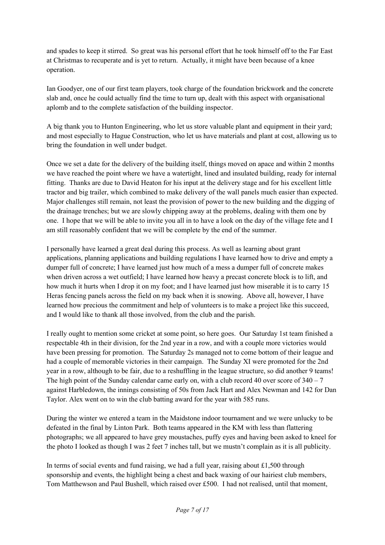and spades to keep it stirred. So great was his personal effort that he took himself off to the Far East at Christmas to recuperate and is yet to return. Actually, it might have been because of a knee operation.

Ian Goodyer, one of our first team players, took charge of the foundation brickwork and the concrete slab and, once he could actually find the time to turn up, dealt with this aspect with organisational aplomb and to the complete satisfaction of the building inspector.

A big thank you to Hunton Engineering, who let us store valuable plant and equipment in their yard; and most especially to Hague Construction, who let us have materials and plant at cost, allowing us to bring the foundation in well under budget.

Once we set a date for the delivery of the building itself, things moved on apace and within 2 months we have reached the point where we have a watertight, lined and insulated building, ready for internal fitting. Thanks are due to David Heaton for his input at the delivery stage and for his excellent little tractor and big trailer, which combined to make delivery of the wall panels much easier than expected. Major challenges still remain, not least the provision of power to the new building and the digging of the drainage trenches; but we are slowly chipping away at the problems, dealing with them one by one. I hope that we will be able to invite you all in to have a look on the day of the village fete and I am still reasonably confident that we will be complete by the end of the summer.

I personally have learned a great deal during this process. As well as learning about grant applications, planning applications and building regulations I have learned how to drive and empty a dumper full of concrete; I have learned just how much of a mess a dumper full of concrete makes when driven across a wet outfield; I have learned how heavy a precast concrete block is to lift, and how much it hurts when I drop it on my foot; and I have learned just how miserable it is to carry 15 Heras fencing panels across the field on my back when it is snowing. Above all, however, I have learned how precious the commitment and help of volunteers is to make a project like this succeed, and I would like to thank all those involved, from the club and the parish.

I really ought to mention some cricket at some point, so here goes. Our Saturday 1st team finished a respectable 4th in their division, for the 2nd year in a row, and with a couple more victories would have been pressing for promotion. The Saturday 2s managed not to come bottom of their league and had a couple of memorable victories in their campaign. The Sunday XI were promoted for the 2nd year in a row, although to be fair, due to a reshuffling in the league structure, so did another 9 teams! The high point of the Sunday calendar came early on, with a club record 40 over score of  $340 - 7$ against Harbledown, the innings consisting of 50s from Jack Hart and Alex Newman and 142 for Dan Taylor. Alex went on to win the club batting award for the year with 585 runs.

During the winter we entered a team in the Maidstone indoor tournament and we were unlucky to be defeated in the final by Linton Park. Both teams appeared in the KM with less than flattering photographs; we all appeared to have grey moustaches, puffy eyes and having been asked to kneel for the photo I looked as though I was 2 feet 7 inches tall, but we mustn't complain as it is all publicity.

In terms of social events and fund raising, we had a full year, raising about £1,500 through sponsorship and events, the highlight being a chest and back waxing of our hairiest club members, Tom Matthewson and Paul Bushell, which raised over £500. I had not realised, until that moment,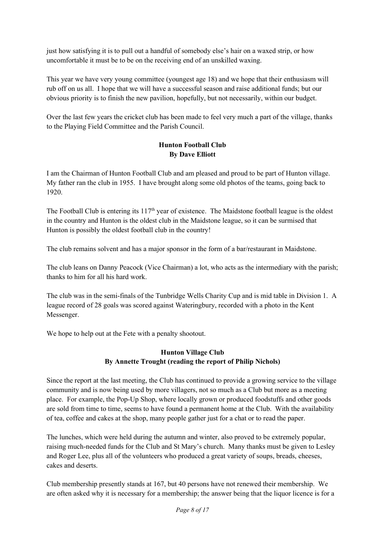just how satisfying it is to pull out a handful of somebody else's hair on a waxed strip, or how uncomfortable it must be to be on the receiving end of an unskilled waxing.

This year we have very young committee (youngest age 18) and we hope that their enthusiasm will rub off on us all. I hope that we will have a successful season and raise additional funds; but our obvious priority is to finish the new pavilion, hopefully, but not necessarily, within our budget.

Over the last few years the cricket club has been made to feel very much a part of the village, thanks to the Playing Field Committee and the Parish Council.

### **Hunton Football Club By Dave Elliott**

I am the Chairman of Hunton Football Club and am pleased and proud to be part of Hunton village. My father ran the club in 1955. I have brought along some old photos of the teams, going back to 1920.

The Football Club is entering its 117<sup>th</sup> year of existence. The Maidstone football league is the oldest in the country and Hunton is the oldest club in the Maidstone league, so it can be surmised that Hunton is possibly the oldest football club in the country!

The club remains solvent and has a major sponsor in the form of a bar/restaurant in Maidstone.

The club leans on Danny Peacock (Vice Chairman) a lot, who acts as the intermediary with the parish; thanks to him for all his hard work.

The club was in the semi-finals of the Tunbridge Wells Charity Cup and is mid table in Division 1. A league record of 28 goals was scored against Wateringbury, recorded with a photo in the Kent Messenger.

We hope to help out at the Fete with a penalty shootout.

### **Hunton Village Club By Annette Trought (reading the report of Philip Nichols)**

Since the report at the last meeting, the Club has continued to provide a growing service to the village community and is now being used by more villagers, not so much as a Club but more as a meeting place. For example, the Pop-Up Shop, where locally grown or produced foodstuffs and other goods are sold from time to time, seems to have found a permanent home at the Club. With the availability of tea, coffee and cakes at the shop, many people gather just for a chat or to read the paper.

The lunches, which were held during the autumn and winter, also proved to be extremely popular, raising much-needed funds for the Club and St Mary's church. Many thanks must be given to Lesley and Roger Lee, plus all of the volunteers who produced a great variety of soups, breads, cheeses, cakes and deserts.

Club membership presently stands at 167, but 40 persons have not renewed their membership. We are often asked why it is necessary for a membership; the answer being that the liquor licence is for a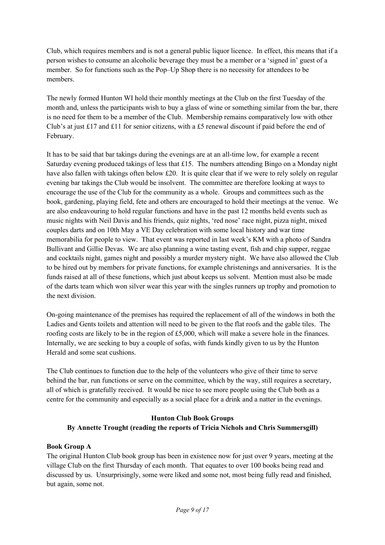Club, which requires members and is not a general public liquor licence. In effect, this means that if a person wishes to consume an alcoholic beverage they must be a member or a 'signed in' guest of a member. So for functions such as the Pop–Up Shop there is no necessity for attendees to be members.

The newly formed Hunton WI hold their monthly meetings at the Club on the first Tuesday of the month and, unless the participants wish to buy a glass of wine or something similar from the bar, there is no need for them to be a member of the Club. Membership remains comparatively low with other Club's at just £17 and £11 for senior citizens, with a £5 renewal discount if paid before the end of February.

It has to be said that bar takings during the evenings are at an all-time low, for example a recent Saturday evening produced takings of less that £15. The numbers attending Bingo on a Monday night have also fallen with takings often below £20. It is quite clear that if we were to rely solely on regular evening bar takings the Club would be insolvent. The committee are therefore looking at ways to encourage the use of the Club for the community as a whole. Groups and committees such as the book, gardening, playing field, fete and others are encouraged to hold their meetings at the venue. We are also endeavouring to hold regular functions and have in the past 12 months held events such as music nights with Neil Davis and his friends, quiz nights, 'red nose' race night, pizza night, mixed couples darts and on 10th May a VE Day celebration with some local history and war time memorabilia for people to view. That event was reported in last week's KM with a photo of Sandra Bullivant and Gillie Devas. We are also planning a wine tasting event, fish and chip supper, reggae and cocktails night, games night and possibly a murder mystery night. We have also allowed the Club to be hired out by members for private functions, for example christenings and anniversaries. It is the funds raised at all of these functions, which just about keeps us solvent. Mention must also be made of the darts team which won silver wear this year with the singles runners up trophy and promotion to the next division.

On-going maintenance of the premises has required the replacement of all of the windows in both the Ladies and Gents toilets and attention will need to be given to the flat roofs and the gable tiles. The roofing costs are likely to be in the region of £5,000, which will make a severe hole in the finances. Internally, we are seeking to buy a couple of sofas, with funds kindly given to us by the Hunton Herald and some seat cushions.

The Club continues to function due to the help of the volunteers who give of their time to serve behind the bar, run functions or serve on the committee, which by the way, still requires a secretary, all of which is gratefully received. It would be nice to see more people using the Club both as a centre for the community and especially as a social place for a drink and a natter in the evenings.

## **Hunton Club Book Groups By Annette Trought (reading the reports of Tricia Nichols and Chris Summersgill)**

#### **Book Group A**

The original Hunton Club book group has been in existence now for just over 9 years, meeting at the village Club on the first Thursday of each month. That equates to over 100 books being read and discussed by us. Unsurprisingly, some were liked and some not, most being fully read and finished, but again, some not.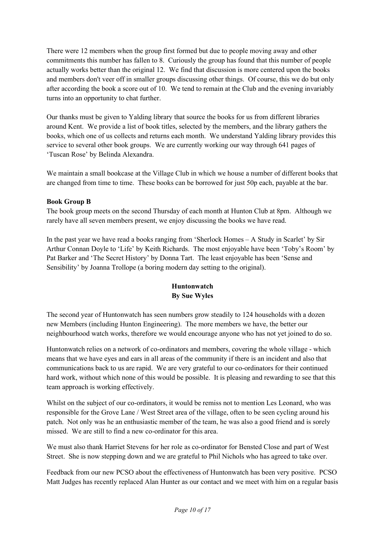There were 12 members when the group first formed but due to people moving away and other commitments this number has fallen to 8. Curiously the group has found that this number of people actually works better than the original 12. We find that discussion is more centered upon the books and members don't veer off in smaller groups discussing other things. Of course, this we do but only after according the book a score out of 10. We tend to remain at the Club and the evening invariably turns into an opportunity to chat further.

Our thanks must be given to Yalding library that source the books for us from different libraries around Kent. We provide a list of book titles, selected by the members, and the library gathers the books, which one of us collects and returns each month. We understand Yalding library provides this service to several other book groups. We are currently working our way through 641 pages of 'Tuscan Rose' by Belinda Alexandra.

We maintain a small bookcase at the Village Club in which we house a number of different books that are changed from time to time. These books can be borrowed for just 50p each, payable at the bar.

### **Book Group B**

The book group meets on the second Thursday of each month at Hunton Club at 8pm. Although we rarely have all seven members present, we enjoy discussing the books we have read.

In the past year we have read a books ranging from 'Sherlock Homes – A Study in Scarlet' by Sir Arthur Connan Doyle to 'Life' by Keith Richards. The most enjoyable have been 'Toby's Room' by Pat Barker and 'The Secret History' by Donna Tart. The least enjoyable has been 'Sense and Sensibility' by Joanna Trollope (a boring modern day setting to the original).

## **Huntonwatch By Sue Wyles**

The second year of Huntonwatch has seen numbers grow steadily to 124 households with a dozen new Members (including Hunton Engineering). The more members we have, the better our neighbourhood watch works, therefore we would encourage anyone who has not yet joined to do so.

Huntonwatch relies on a network of co-ordinators and members, covering the whole village - which means that we have eyes and ears in all areas of the community if there is an incident and also that communications back to us are rapid. We are very grateful to our co-ordinators for their continued hard work, without which none of this would be possible. It is pleasing and rewarding to see that this team approach is working effectively.

Whilst on the subject of our co-ordinators, it would be remiss not to mention Les Leonard, who was responsible for the Grove Lane / West Street area of the village, often to be seen cycling around his patch. Not only was he an enthusiastic member of the team, he was also a good friend and is sorely missed. We are still to find a new co-ordinator for this area.

We must also thank Harriet Stevens for her role as co-ordinator for Bensted Close and part of West Street. She is now stepping down and we are grateful to Phil Nichols who has agreed to take over.

Feedback from our new PCSO about the effectiveness of Huntonwatch has been very positive. PCSO Matt Judges has recently replaced Alan Hunter as our contact and we meet with him on a regular basis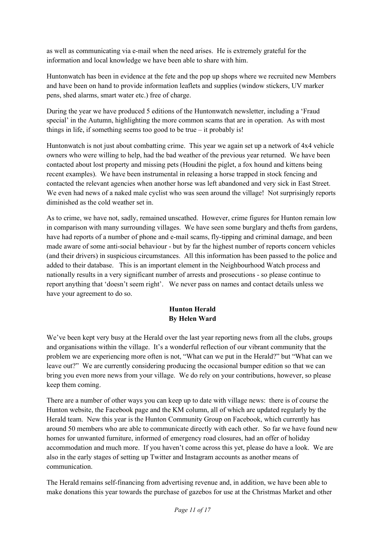as well as communicating via e-mail when the need arises. He is extremely grateful for the information and local knowledge we have been able to share with him.

Huntonwatch has been in evidence at the fete and the pop up shops where we recruited new Members and have been on hand to provide information leaflets and supplies (window stickers, UV marker pens, shed alarms, smart water etc.) free of charge.

During the year we have produced 5 editions of the Huntonwatch newsletter, including a 'Fraud special' in the Autumn, highlighting the more common scams that are in operation. As with most things in life, if something seems too good to be true  $-$  it probably is!

Huntonwatch is not just about combatting crime. This year we again set up a network of 4x4 vehicle owners who were willing to help, had the bad weather of the previous year returned. We have been contacted about lost property and missing pets (Houdini the piglet, a fox hound and kittens being recent examples). We have been instrumental in releasing a horse trapped in stock fencing and contacted the relevant agencies when another horse was left abandoned and very sick in East Street. We even had news of a naked male cyclist who was seen around the village! Not surprisingly reports diminished as the cold weather set in.

As to crime, we have not, sadly, remained unscathed. However, crime figures for Hunton remain low in comparison with many surrounding villages. We have seen some burglary and thefts from gardens, have had reports of a number of phone and e-mail scams, fly-tipping and criminal damage, and been made aware of some anti-social behaviour - but by far the highest number of reports concern vehicles (and their drivers) in suspicious circumstances. All this information has been passed to the police and added to their database. This is an important element in the Neighbourhood Watch process and nationally results in a very significant number of arrests and prosecutions - so please continue to report anything that 'doesn't seem right'. We never pass on names and contact details unless we have your agreement to do so.

## **Hunton Herald By Helen Ward**

We've been kept very busy at the Herald over the last year reporting news from all the clubs, groups and organisations within the village. It's a wonderful reflection of our vibrant community that the problem we are experiencing more often is not, "What can we put in the Herald?" but "What can we leave out?" We are currently considering producing the occasional bumper edition so that we can bring you even more news from your village. We do rely on your contributions, however, so please keep them coming.

There are a number of other ways you can keep up to date with village news: there is of course the Hunton website, the Facebook page and the KM column, all of which are updated regularly by the Herald team. New this year is the Hunton Community Group on Facebook, which currently has around 50 members who are able to communicate directly with each other. So far we have found new homes for unwanted furniture, informed of emergency road closures, had an offer of holiday accommodation and much more. If you haven't come across this yet, please do have a look. We are also in the early stages of setting up Twitter and Instagram accounts as another means of communication.

The Herald remains self-financing from advertising revenue and, in addition, we have been able to make donations this year towards the purchase of gazebos for use at the Christmas Market and other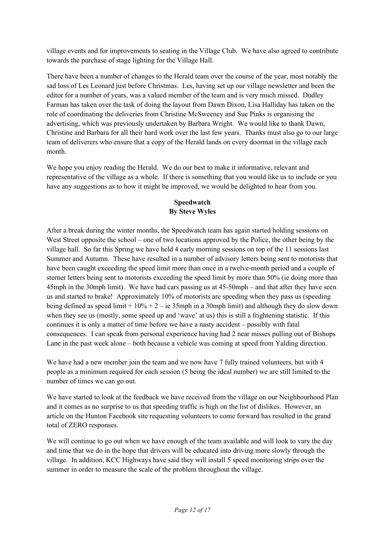village events and for improvements to seating in the Village Club. We have also agreed to contribute towards the purchase of stage lighting for the Village Hall.

There have been a number of changes to the Herald team over the course of the year, most notably the sad loss of Les Leonard just before Christmas. Les, having set up our village newsletter and been the editor for a number of years, was a valued member of the team and is very much missed. Dudley Farman has taken over the task of doing the layout from Dawn Dixon, Lisa Halliday has taken on the role of coordinating the deliveries from Christine McSweeney and Sue Pinks is organising the advertising, which was previously undertaken by Barbara Wright. We would like to thank Dawn, Christine and Barbara for all their hard work over the last few years. Thanks must also go to our large team of deliverers who ensure that a copy of the Herald lands on every doormat in the village each month.

We hope you enjoy reading the Herald. We do our best to make it informative, relevant and representative of the village as a whole. If there is something that you would like us to include or you have any suggestions as to how it might be improved, we would be delighted to hear from you.

## **Speedwatch By Steve Wyles**

After a break during the winter months, the Speedwatch team has again started holding sessions on West Street opposite the school – one of two locations approved by the Police, the other being by the village hall. So far this Spring we have held 4 early morning sessions on top of the 11 sessions last Summer and Autumn. These have resulted in a number of advisory letters being sent to motorists that have been caught exceeding the speed limit more than once in a twelve-month period and a couple of sterner letters being sent to motorists exceeding the speed limit by more than 50% (ie doing more than 45mph in the 30mph limit). We have had cars passing us at 45-50mph – and that after they have seen us and started to brake! Approximately 10% of motorists are speeding when they pass us (speeding being defined as speed limit  $+10\% + 2 - i$  ie 35mph in a 30mph limit) and although they do slow down when they see us (mostly, some speed up and 'wave' at us) this is still a frightening statistic. If this continues it is only a matter of time before we have a nasty accident – possibly with fatal consequences. I can speak from personal experience having had 2 near misses pulling out of Bishops Lane in the past week alone – both because a vehicle was coming at speed from Yalding direction.

We have had a new member join the team and we now have 7 fully trained volunteers, but with 4 people as a minimum required for each session (5 being the ideal number) we are still limited to the number of times we can go out.

We have started to look at the feedback we have received from the village on our Neighbourhood Plan and it comes as no surprise to us that speeding traffic is high on the list of dislikes. However, an article on the Hunton Facebook site requesting volunteers to come forward has resulted in the grand total of ZERO responses.

We will continue to go out when we have enough of the team available and will look to vary the day and time that we do in the hope that drivers will be educated into driving more slowly through the village. In addition, KCC Highways have said they will install 5 speed monitoring strips over the summer in order to measure the scale of the problem throughout the village.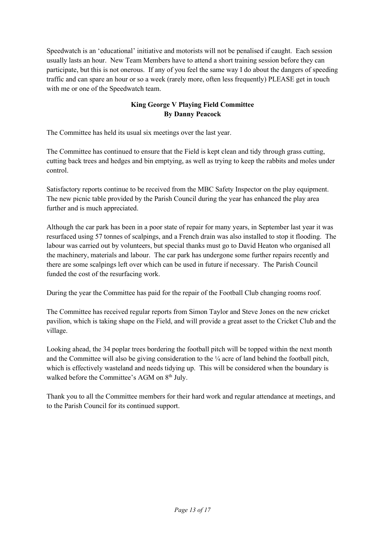Speedwatch is an 'educational' initiative and motorists will not be penalised if caught. Each session usually lasts an hour. New Team Members have to attend a short training session before they can participate, but this is not onerous. If any of you feel the same way I do about the dangers of speeding traffic and can spare an hour or so a week (rarely more, often less frequently) PLEASE get in touch with me or one of the Speedwatch team.

## **King George V Playing Field Committee By Danny Peacock**

The Committee has held its usual six meetings over the last year.

The Committee has continued to ensure that the Field is kept clean and tidy through grass cutting, cutting back trees and hedges and bin emptying, as well as trying to keep the rabbits and moles under control.

Satisfactory reports continue to be received from the MBC Safety Inspector on the play equipment. The new picnic table provided by the Parish Council during the year has enhanced the play area further and is much appreciated.

Although the car park has been in a poor state of repair for many years, in September last year it was resurfaced using 57 tonnes of scalpings, and a French drain was also installed to stop it flooding. The labour was carried out by volunteers, but special thanks must go to David Heaton who organised all the machinery, materials and labour. The car park has undergone some further repairs recently and there are some scalpings left over which can be used in future if necessary. The Parish Council funded the cost of the resurfacing work.

During the year the Committee has paid for the repair of the Football Club changing rooms roof.

The Committee has received regular reports from Simon Taylor and Steve Jones on the new cricket pavilion, which is taking shape on the Field, and will provide a great asset to the Cricket Club and the village.

Looking ahead, the 34 poplar trees bordering the football pitch will be topped within the next month and the Committee will also be giving consideration to the ¼ acre of land behind the football pitch, which is effectively wasteland and needs tidying up. This will be considered when the boundary is walked before the Committee's AGM on 8<sup>th</sup> July.

Thank you to all the Committee members for their hard work and regular attendance at meetings, and to the Parish Council for its continued support.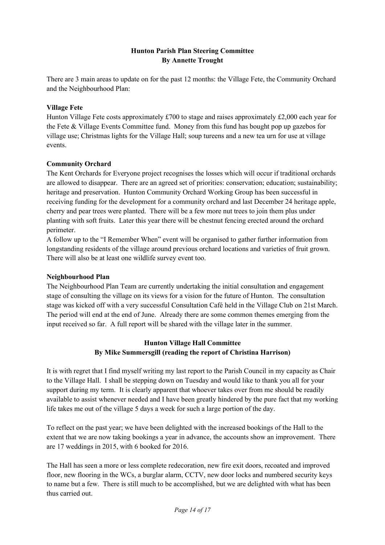### **Hunton Parish Plan Steering Committee By Annette Trought**

There are 3 main areas to update on for the past 12 months: the Village Fete, the Community Orchard and the Neighbourhood Plan:

#### **Village Fete**

Hunton Village Fete costs approximately £700 to stage and raises approximately £2,000 each year for the Fete & Village Events Committee fund. Money from this fund has bought pop up gazebos for village use; Christmas lights for the Village Hall; soup tureens and a new tea urn for use at village events.

### **Community Orchard**

The Kent Orchards for Everyone project recognises the losses which will occur if traditional orchards are allowed to disappear. There are an agreed set of priorities: conservation; education; sustainability; heritage and preservation. Hunton Community Orchard Working Group has been successful in receiving funding for the development for a community orchard and last December 24 heritage apple, cherry and pear trees were planted. There will be a few more nut trees to join them plus under planting with soft fruits. Later this year there will be chestnut fencing erected around the orchard perimeter.

A follow up to the "I Remember When" event will be organised to gather further information from longstanding residents of the village around previous orchard locations and varieties of fruit grown. There will also be at least one wildlife survey event too.

#### **Neighbourhood Plan**

The Neighbourhood Plan Team are currently undertaking the initial consultation and engagement stage of consulting the village on its views for a vision for the future of Hunton. The consultation stage was kicked off with a very successful Consultation Café held in the Village Club on 21st March. The period will end at the end of June. Already there are some common themes emerging from the input received so far. A full report will be shared with the village later in the summer.

## **Hunton Village Hall Committee By Mike Summersgill (reading the report of Christina Harrison)**

It is with regret that I find myself writing my last report to the Parish Council in my capacity as Chair to the Village Hall. I shall be stepping down on Tuesday and would like to thank you all for your support during my term. It is clearly apparent that whoever takes over from me should be readily available to assist whenever needed and I have been greatly hindered by the pure fact that my working life takes me out of the village 5 days a week for such a large portion of the day.

To reflect on the past year; we have been delighted with the increased bookings of the Hall to the extent that we are now taking bookings a year in advance, the accounts show an improvement. There are 17 weddings in 2015, with 6 booked for 2016.

The Hall has seen a more or less complete redecoration, new fire exit doors, recoated and improved floor, new flooring in the WCs, a burglar alarm, CCTV, new door locks and numbered security keys to name but a few. There is still much to be accomplished, but we are delighted with what has been thus carried out.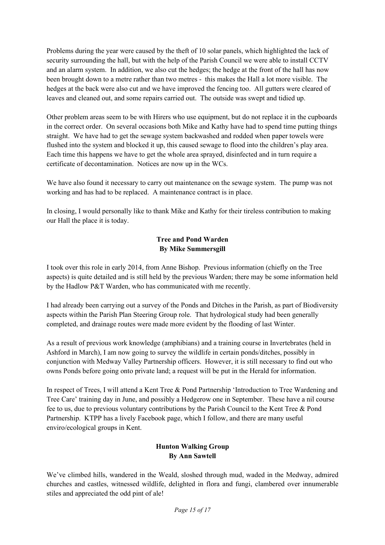Problems during the year were caused by the theft of 10 solar panels, which highlighted the lack of security surrounding the hall, but with the help of the Parish Council we were able to install CCTV and an alarm system. In addition, we also cut the hedges; the hedge at the front of the hall has now been brought down to a metre rather than two metres - this makes the Hall a lot more visible. The hedges at the back were also cut and we have improved the fencing too. All gutters were cleared of leaves and cleaned out, and some repairs carried out. The outside was swept and tidied up.

Other problem areas seem to be with Hirers who use equipment, but do not replace it in the cupboards in the correct order. On several occasions both Mike and Kathy have had to spend time putting things straight. We have had to get the sewage system backwashed and rodded when paper towels were flushed into the system and blocked it up, this caused sewage to flood into the children's play area. Each time this happens we have to get the whole area sprayed, disinfected and in turn require a certificate of decontamination. Notices are now up in the WCs.

We have also found it necessary to carry out maintenance on the sewage system. The pump was not working and has had to be replaced. A maintenance contract is in place.

In closing, I would personally like to thank Mike and Kathy for their tireless contribution to making our Hall the place it is today.

### **Tree and Pond Warden By Mike Summersgill**

I took over this role in early 2014, from Anne Bishop. Previous information (chiefly on the Tree aspects) is quite detailed and is still held by the previous Warden; there may be some information held by the Hadlow P&T Warden, who has communicated with me recently.

I had already been carrying out a survey of the Ponds and Ditches in the Parish, as part of Biodiversity aspects within the Parish Plan Steering Group role. That hydrological study had been generally completed, and drainage routes were made more evident by the flooding of last Winter.

As a result of previous work knowledge (amphibians) and a training course in Invertebrates (held in Ashford in March), I am now going to survey the wildlife in certain ponds/ditches, possibly in conjunction with Medway Valley Partnership officers. However, it is still necessary to find out who owns Ponds before going onto private land; a request will be put in the Herald for information.

In respect of Trees, I will attend a Kent Tree & Pond Partnership 'Introduction to Tree Wardening and Tree Care' training day in June, and possibly a Hedgerow one in September. These have a nil course fee to us, due to previous voluntary contributions by the Parish Council to the Kent Tree & Pond Partnership. KTPP has a lively Facebook page, which I follow, and there are many useful enviro/ecological groups in Kent.

## **Hunton Walking Group By Ann Sawtell**

We've climbed hills, wandered in the Weald, sloshed through mud, waded in the Medway, admired churches and castles, witnessed wildlife, delighted in flora and fungi, clambered over innumerable stiles and appreciated the odd pint of ale!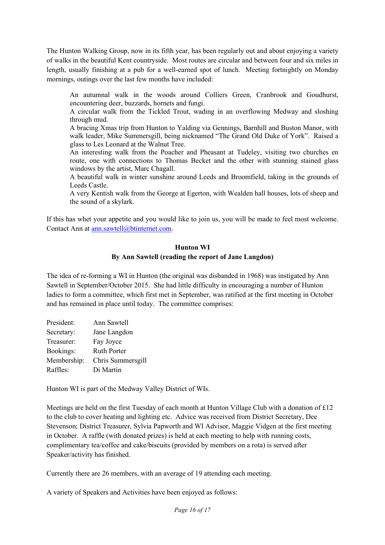The Hunton Walking Group, now in its fifth year, has been regularly out and about enjoying a variety of walks in the beautiful Kent countryside. Most routes are circular and between four and six miles in length, usually finishing at a pub for a well-earned spot of lunch. Meeting fortnightly on Monday mornings, outings over the last few months have included:

An autumnal walk in the woods around Colliers Green, Cranbrook and Goudhurst, encountering deer, buzzards, hornets and fungi.

A circular walk from the Tickled Trout, wading in an overflowing Medway and sloshing through mud.

A bracing Xmas trip from Hunton to Yalding via Gennings, Barnhill and Buston Manor, with walk leader, Mike Summersgill, being nicknamed "The Grand Old Duke of York". Raised a glass to Les Leonard at the Walnut Tree.

An interesting walk from the Poacher and Pheasant at Tudeley, visiting two churches en route, one with connections to Thomas Becket and the other with stunning stained glass windows by the artist, Marc Chagall.

A beautiful walk in winter sunshine around Leeds and Broomfield, taking in the grounds of Leeds Castle.

A very Kentish walk from the George at Egerton, with Wealden hall houses, lots of sheep and the sound of a skylark.

If this has whet your appetite and you would like to join us, you will be made to feel most welcome. Contact Ann at ann.sawtell@btinternet.com.

#### **Hunton WI By Ann Sawtell (reading the report of Jane Langdon)**

The idea of re-forming a WI in Hunton (the original was disbanded in 1968) was instigated by Ann Sawtell in September/October 2015. She had little difficulty in encouraging a number of Hunton ladies to form a committee, which first met in September, was ratified at the first meeting in October and has remained in place until today. The committee comprises:

| President:  | Ann Sawtell        |
|-------------|--------------------|
| Secretary:  | Jane Langdon       |
| Treasurer:  | Fay Joyce          |
| Bookings:   | <b>Ruth Porter</b> |
| Membership: | Chris Summersgill  |
| Raffles:    | Di Martin          |

Hunton WI is part of the Medway Valley District of WIs.

Meetings are held on the first Tuesday of each month at Hunton Village Club with a donation of £12 to the club to cover heating and lighting etc. Advice was received from District Secretary, Dee Stevenson; District Treasurer, Sylvia Papworth and WI Advisor, Maggie Vidgen at the first meeting in October. A raffle (with donated prizes) is held at each meeting to help with running costs, complimentary tea/coffee and cake/biscuits (provided by members on a rota) is served after Speaker/activity has finished.

Currently there are 26 members, with an average of 19 attending each meeting.

A variety of Speakers and Activities have been enjoyed as follows: